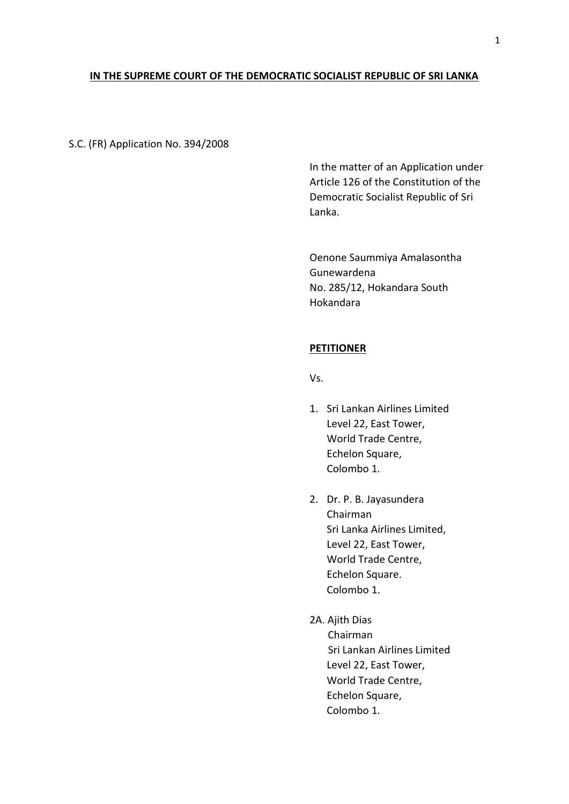# **IN THE SUPREME COURT OF THE DEMOCRATIC SOCIALIST REPUBLIC OF SRI LANKA**

### S.C. (FR) Application No. 394/2008

In the matter of an Application under Article 126 of the Constitution of the Democratic Socialist Republic of Sri Lanka.

Oenone Saummiya Amalasontha Gunewardena No. 285/12, Hokandara South Hokandara

### **PETITIONER**

Vs.

- 1. Sri Lankan Airlines Limited Level 22, East Tower, World Trade Centre, Echelon Square, Colombo 1.
- 2. Dr. P. B. Jayasundera Chairman Sri Lanka Airlines Limited, Level 22, East Tower, World Trade Centre, Echelon Square. Colombo 1.
- 2A. Ajith Dias Chairman Sri Lankan Airlines Limited Level 22, East Tower, World Trade Centre, Echelon Square, Colombo 1.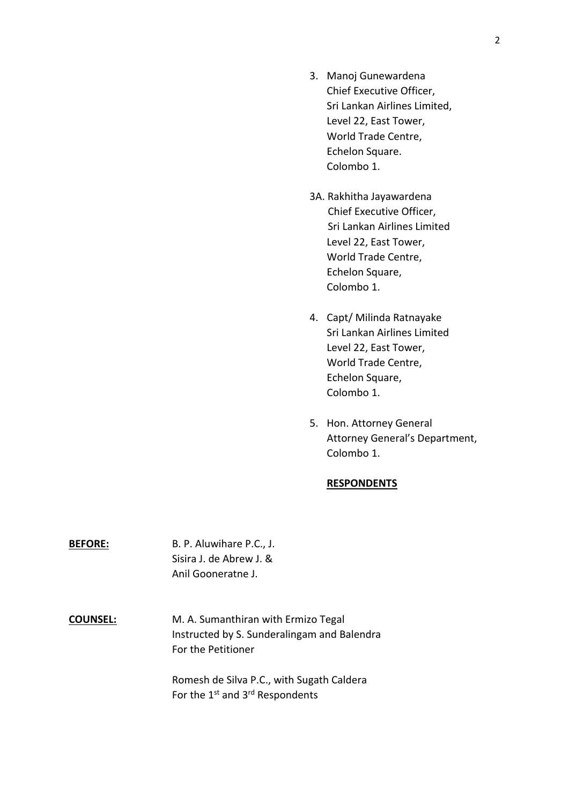- 3. Manoj Gunewardena Chief Executive Officer, Sri Lankan Airlines Limited, Level 22, East Tower, World Trade Centre, Echelon Square. Colombo 1.
- 3A. Rakhitha Jayawardena Chief Executive Officer, Sri Lankan Airlines Limited Level 22, East Tower, World Trade Centre, Echelon Square, Colombo 1.
- 4. Capt/ Milinda Ratnayake Sri Lankan Airlines Limited Level 22, East Tower, World Trade Centre, Echelon Square, Colombo 1.
- 5. Hon. Attorney General Attorney General's Department, Colombo 1.

## **RESPONDENTS**

**BEFORE:** B. P. Aluwihare P.C., J. Sisira J. de Abrew J. & Anil Gooneratne J.

**COUNSEL:** M. A. Sumanthiran with Ermizo Tegal Instructed by S. Sunderalingam and Balendra For the Petitioner

> Romesh de Silva P.C., with Sugath Caldera For the 1st and 3rd Respondents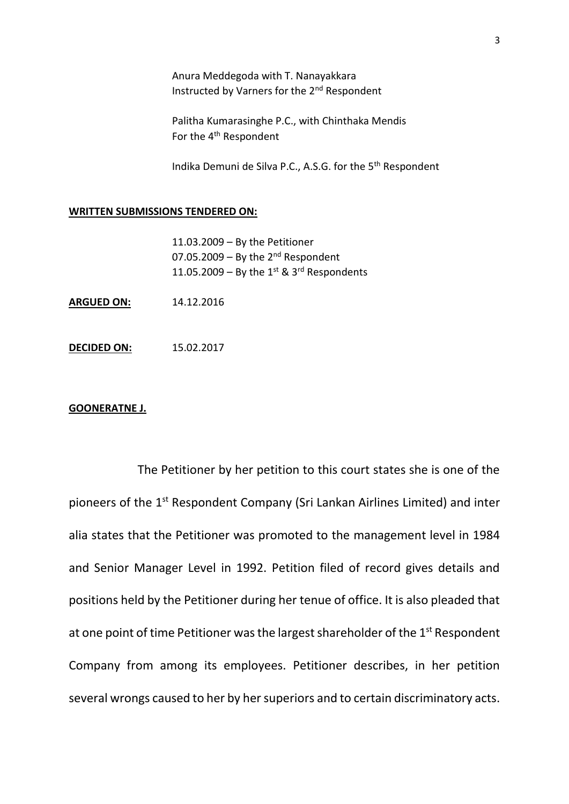Anura Meddegoda with T. Nanayakkara Instructed by Varners for the 2<sup>nd</sup> Respondent

Palitha Kumarasinghe P.C., with Chinthaka Mendis For the 4<sup>th</sup> Respondent

Indika Demuni de Silva P.C., A.S.G. for the 5th Respondent

#### **WRITTEN SUBMISSIONS TENDERED ON:**

- 11.03.2009 By the Petitioner 07.05.2009 – By the  $2^{nd}$  Respondent 11.05.2009 – By the  $1^{st}$  &  $3^{rd}$  Respondents
- **ARGUED ON:** 14.12.2016
- **DECIDED ON:** 15.02.2017

## **GOONERATNE J.**

The Petitioner by her petition to this court states she is one of the pioneers of the 1<sup>st</sup> Respondent Company (Sri Lankan Airlines Limited) and inter alia states that the Petitioner was promoted to the management level in 1984 and Senior Manager Level in 1992. Petition filed of record gives details and positions held by the Petitioner during her tenue of office. It is also pleaded that at one point of time Petitioner was the largest shareholder of the 1<sup>st</sup> Respondent Company from among its employees. Petitioner describes, in her petition several wrongs caused to her by her superiors and to certain discriminatory acts.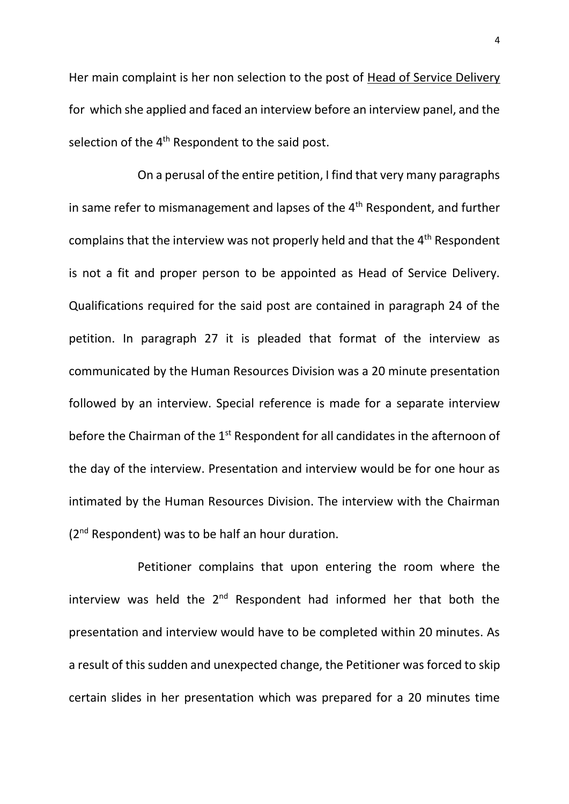Her main complaint is her non selection to the post of Head of Service Delivery for which she applied and faced an interview before an interview panel, and the selection of the 4<sup>th</sup> Respondent to the said post.

On a perusal of the entire petition, I find that very many paragraphs in same refer to mismanagement and lapses of the 4<sup>th</sup> Respondent, and further complains that the interview was not properly held and that the 4<sup>th</sup> Respondent is not a fit and proper person to be appointed as Head of Service Delivery. Qualifications required for the said post are contained in paragraph 24 of the petition. In paragraph 27 it is pleaded that format of the interview as communicated by the Human Resources Division was a 20 minute presentation followed by an interview. Special reference is made for a separate interview before the Chairman of the 1<sup>st</sup> Respondent for all candidates in the afternoon of the day of the interview. Presentation and interview would be for one hour as intimated by the Human Resources Division. The interview with the Chairman ( $2<sup>nd</sup>$  Respondent) was to be half an hour duration.

Petitioner complains that upon entering the room where the interview was held the  $2^{nd}$  Respondent had informed her that both the presentation and interview would have to be completed within 20 minutes. As a result of this sudden and unexpected change, the Petitioner was forced to skip certain slides in her presentation which was prepared for a 20 minutes time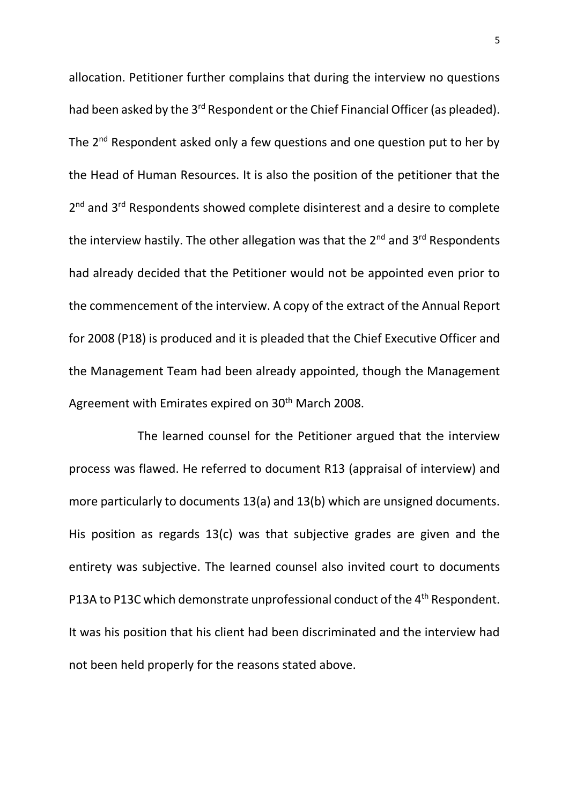allocation. Petitioner further complains that during the interview no questions had been asked by the 3<sup>rd</sup> Respondent or the Chief Financial Officer (as pleaded). The 2<sup>nd</sup> Respondent asked only a few questions and one question put to her by the Head of Human Resources. It is also the position of the petitioner that the 2<sup>nd</sup> and 3<sup>rd</sup> Respondents showed complete disinterest and a desire to complete the interview hastily. The other allegation was that the  $2^{nd}$  and  $3^{rd}$  Respondents had already decided that the Petitioner would not be appointed even prior to the commencement of the interview. A copy of the extract of the Annual Report for 2008 (P18) is produced and it is pleaded that the Chief Executive Officer and the Management Team had been already appointed, though the Management Agreement with Emirates expired on 30<sup>th</sup> March 2008.

The learned counsel for the Petitioner argued that the interview process was flawed. He referred to document R13 (appraisal of interview) and more particularly to documents 13(a) and 13(b) which are unsigned documents. His position as regards 13(c) was that subjective grades are given and the entirety was subjective. The learned counsel also invited court to documents P13A to P13C which demonstrate unprofessional conduct of the 4<sup>th</sup> Respondent. It was his position that his client had been discriminated and the interview had not been held properly for the reasons stated above.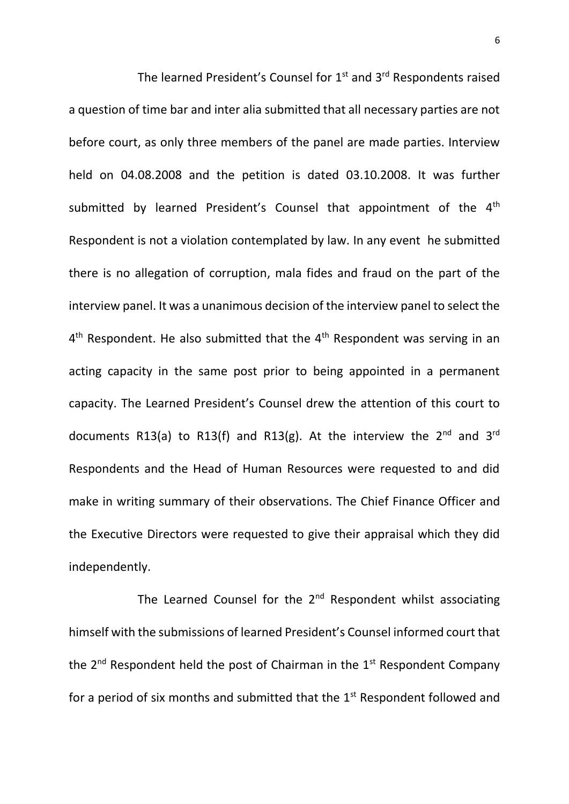The learned President's Counsel for  $1<sup>st</sup>$  and  $3<sup>rd</sup>$  Respondents raised a question of time bar and inter alia submitted that all necessary parties are not before court, as only three members of the panel are made parties. Interview held on 04.08.2008 and the petition is dated 03.10.2008. It was further submitted by learned President's Counsel that appointment of the 4<sup>th</sup> Respondent is not a violation contemplated by law. In any event he submitted there is no allegation of corruption, mala fides and fraud on the part of the interview panel. It was a unanimous decision of the interview panel to select the  $4<sup>th</sup>$  Respondent. He also submitted that the  $4<sup>th</sup>$  Respondent was serving in an acting capacity in the same post prior to being appointed in a permanent capacity. The Learned President's Counsel drew the attention of this court to documents R13(a) to R13(f) and R13(g). At the interview the  $2^{nd}$  and  $3^{rd}$ Respondents and the Head of Human Resources were requested to and did make in writing summary of their observations. The Chief Finance Officer and the Executive Directors were requested to give their appraisal which they did independently.

The Learned Counsel for the  $2<sup>nd</sup>$  Respondent whilst associating himself with the submissions of learned President's Counsel informed court that the  $2^{nd}$  Respondent held the post of Chairman in the  $1^{st}$  Respondent Company for a period of six months and submitted that the  $1<sup>st</sup>$  Respondent followed and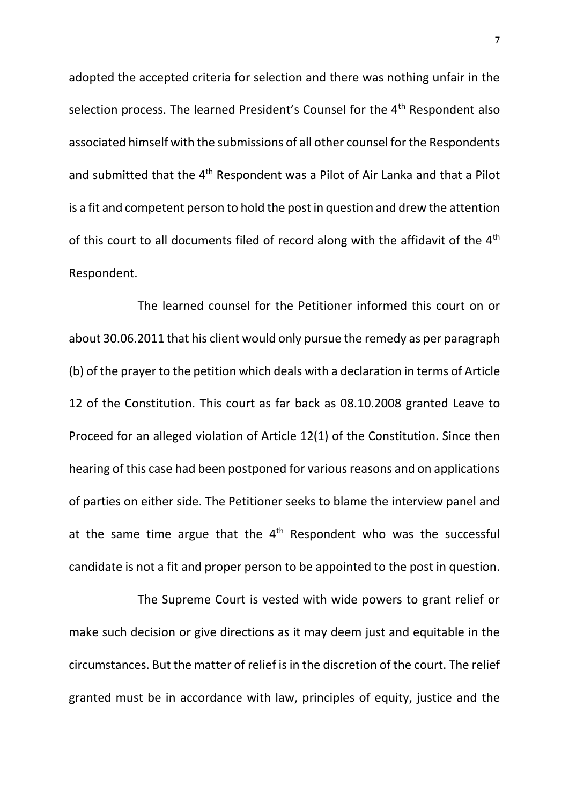adopted the accepted criteria for selection and there was nothing unfair in the selection process. The learned President's Counsel for the 4<sup>th</sup> Respondent also associated himself with the submissions of all other counsel for the Respondents and submitted that the 4<sup>th</sup> Respondent was a Pilot of Air Lanka and that a Pilot is a fit and competent person to hold the post in question and drew the attention of this court to all documents filed of record along with the affidavit of the  $4<sup>th</sup>$ Respondent.

The learned counsel for the Petitioner informed this court on or about 30.06.2011 that his client would only pursue the remedy as per paragraph (b) of the prayer to the petition which deals with a declaration in terms of Article 12 of the Constitution. This court as far back as 08.10.2008 granted Leave to Proceed for an alleged violation of Article 12(1) of the Constitution. Since then hearing of this case had been postponed for various reasons and on applications of parties on either side. The Petitioner seeks to blame the interview panel and at the same time argue that the  $4<sup>th</sup>$  Respondent who was the successful candidate is not a fit and proper person to be appointed to the post in question.

The Supreme Court is vested with wide powers to grant relief or make such decision or give directions as it may deem just and equitable in the circumstances. But the matter of relief is in the discretion of the court. The relief granted must be in accordance with law, principles of equity, justice and the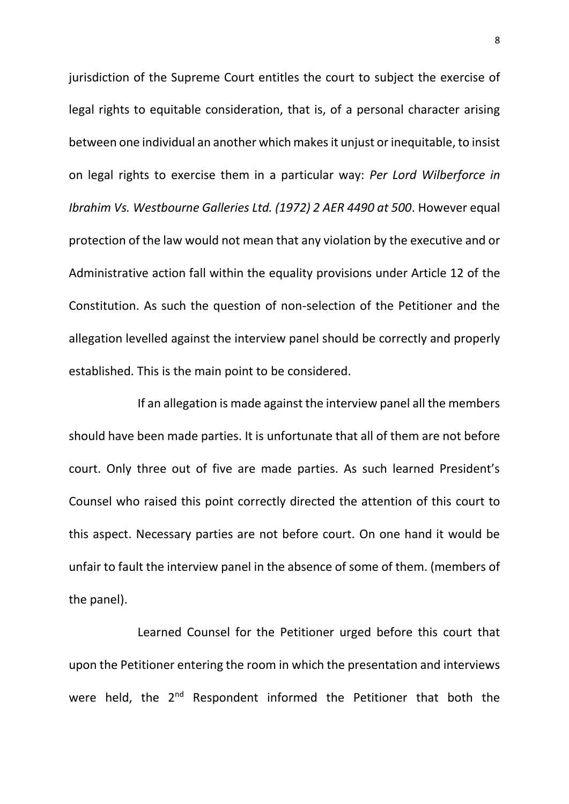jurisdiction of the Supreme Court entitles the court to subject the exercise of legal rights to equitable consideration, that is, of a personal character arising between one individual an another which makes it unjust or inequitable, to insist on legal rights to exercise them in a particular way: *Per Lord Wilberforce in Ibrahim Vs. Westbourne Galleries Ltd. (1972) 2 AER 4490 at 500*. However equal protection of the law would not mean that any violation by the executive and or Administrative action fall within the equality provisions under Article 12 of the Constitution. As such the question of non-selection of the Petitioner and the allegation levelled against the interview panel should be correctly and properly established. This is the main point to be considered.

If an allegation is made against the interview panel all the members should have been made parties. It is unfortunate that all of them are not before court. Only three out of five are made parties. As such learned President's Counsel who raised this point correctly directed the attention of this court to this aspect. Necessary parties are not before court. On one hand it would be unfair to fault the interview panel in the absence of some of them. (members of the panel).

Learned Counsel for the Petitioner urged before this court that upon the Petitioner entering the room in which the presentation and interviews were held, the 2<sup>nd</sup> Respondent informed the Petitioner that both the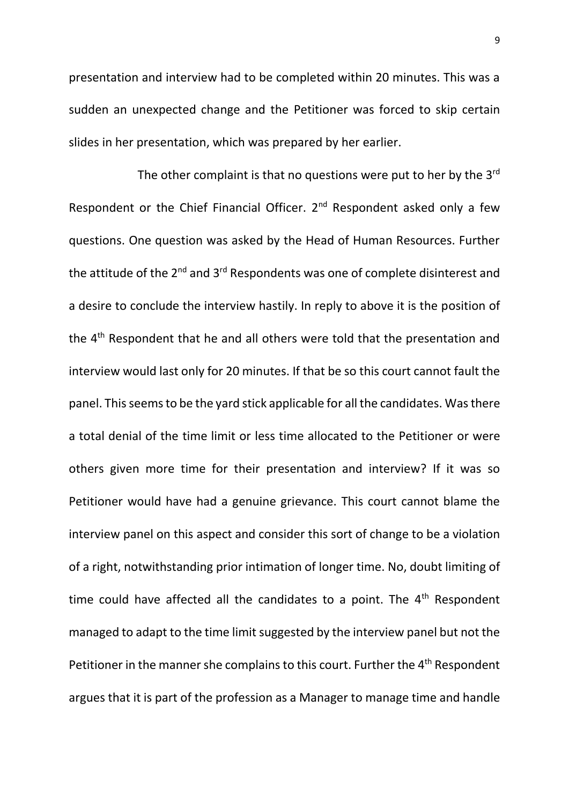presentation and interview had to be completed within 20 minutes. This was a sudden an unexpected change and the Petitioner was forced to skip certain slides in her presentation, which was prepared by her earlier.

The other complaint is that no questions were put to her by the 3rd Respondent or the Chief Financial Officer. 2<sup>nd</sup> Respondent asked only a few questions. One question was asked by the Head of Human Resources. Further the attitude of the  $2^{nd}$  and  $3^{rd}$  Respondents was one of complete disinterest and a desire to conclude the interview hastily. In reply to above it is the position of the 4<sup>th</sup> Respondent that he and all others were told that the presentation and interview would last only for 20 minutes. If that be so this court cannot fault the panel. This seems to be the yard stick applicable for all the candidates. Was there a total denial of the time limit or less time allocated to the Petitioner or were others given more time for their presentation and interview? If it was so Petitioner would have had a genuine grievance. This court cannot blame the interview panel on this aspect and consider this sort of change to be a violation of a right, notwithstanding prior intimation of longer time. No, doubt limiting of time could have affected all the candidates to a point. The  $4<sup>th</sup>$  Respondent managed to adapt to the time limit suggested by the interview panel but not the Petitioner in the manner she complains to this court. Further the 4<sup>th</sup> Respondent argues that it is part of the profession as a Manager to manage time and handle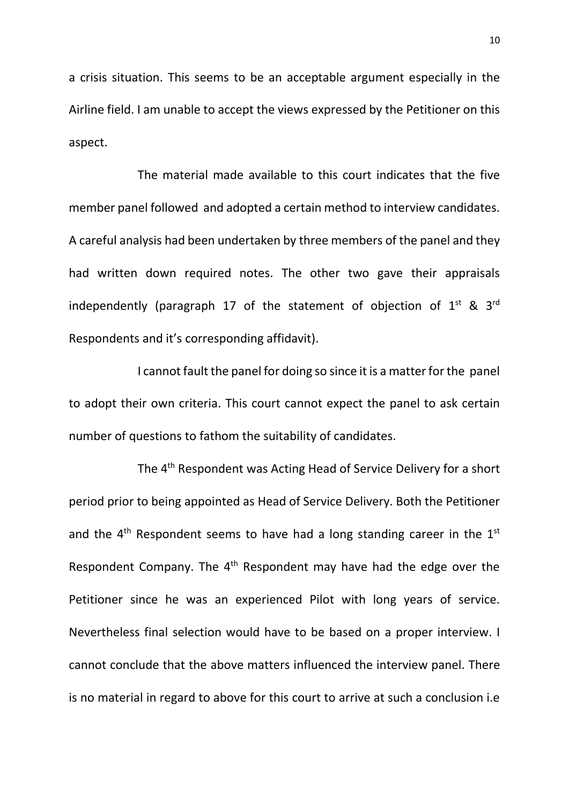a crisis situation. This seems to be an acceptable argument especially in the Airline field. I am unable to accept the views expressed by the Petitioner on this aspect.

The material made available to this court indicates that the five member panel followed and adopted a certain method to interview candidates. A careful analysis had been undertaken by three members of the panel and they had written down required notes. The other two gave their appraisals independently (paragraph 17 of the statement of objection of  $1^{st}$  &  $3^{rd}$ Respondents and it's corresponding affidavit).

I cannot fault the panel for doing so since it is a matter for the panel to adopt their own criteria. This court cannot expect the panel to ask certain number of questions to fathom the suitability of candidates.

The 4th Respondent was Acting Head of Service Delivery for a short period prior to being appointed as Head of Service Delivery. Both the Petitioner and the  $4<sup>th</sup>$  Respondent seems to have had a long standing career in the  $1<sup>st</sup>$ Respondent Company. The  $4<sup>th</sup>$  Respondent may have had the edge over the Petitioner since he was an experienced Pilot with long years of service. Nevertheless final selection would have to be based on a proper interview. I cannot conclude that the above matters influenced the interview panel. There is no material in regard to above for this court to arrive at such a conclusion i.e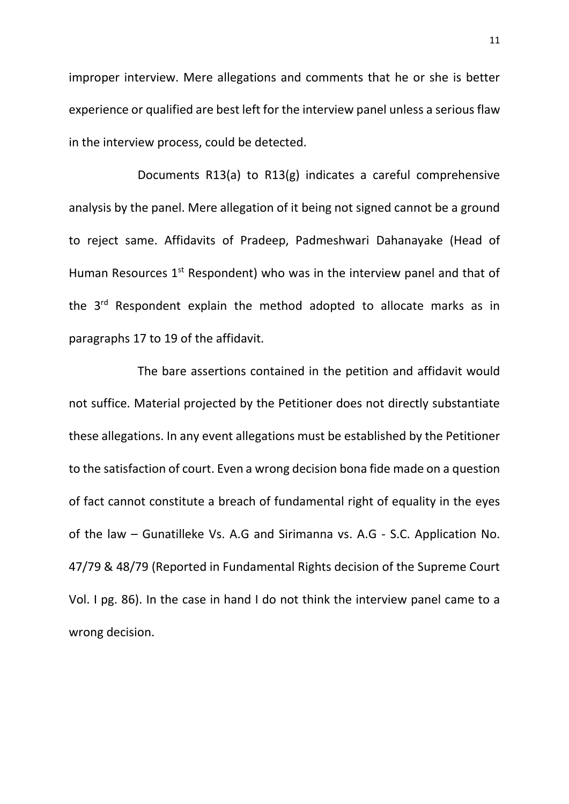improper interview. Mere allegations and comments that he or she is better experience or qualified are best left for the interview panel unless a serious flaw in the interview process, could be detected.

Documents R13(a) to R13(g) indicates a careful comprehensive analysis by the panel. Mere allegation of it being not signed cannot be a ground to reject same. Affidavits of Pradeep, Padmeshwari Dahanayake (Head of Human Resources 1<sup>st</sup> Respondent) who was in the interview panel and that of the 3<sup>rd</sup> Respondent explain the method adopted to allocate marks as in paragraphs 17 to 19 of the affidavit.

The bare assertions contained in the petition and affidavit would not suffice. Material projected by the Petitioner does not directly substantiate these allegations. In any event allegations must be established by the Petitioner to the satisfaction of court. Even a wrong decision bona fide made on a question of fact cannot constitute a breach of fundamental right of equality in the eyes of the law – Gunatilleke Vs. A.G and Sirimanna vs. A.G - S.C. Application No. 47/79 & 48/79 (Reported in Fundamental Rights decision of the Supreme Court Vol. I pg. 86). In the case in hand I do not think the interview panel came to a wrong decision.